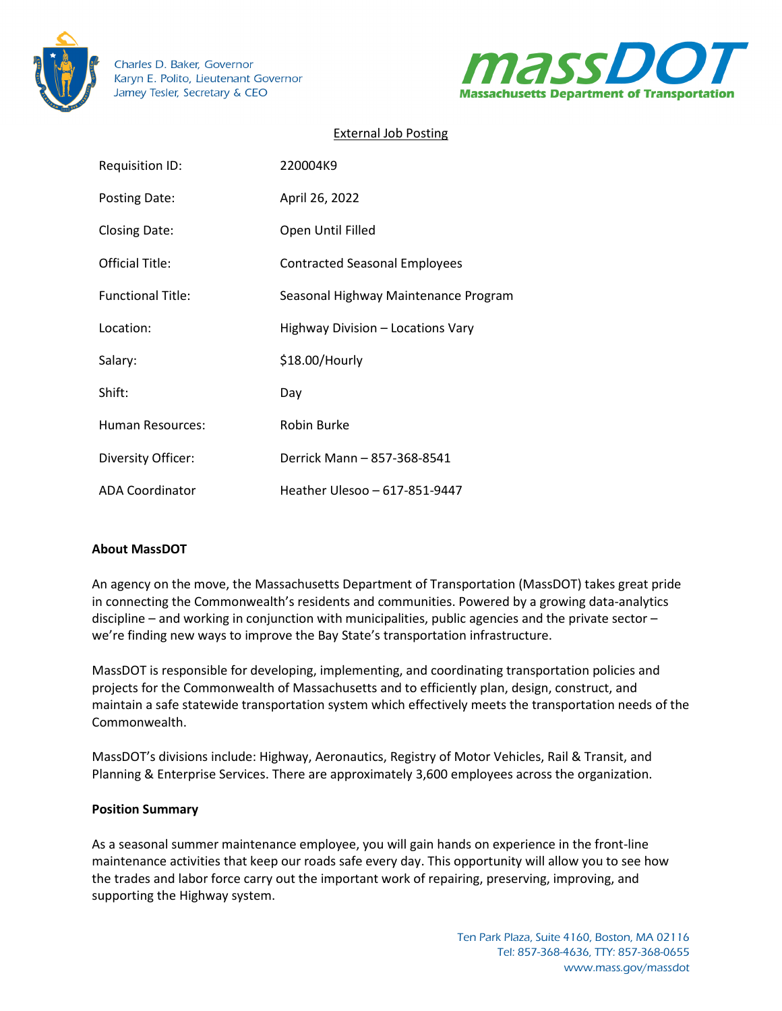

Charles D. Baker, Governor Karyn E. Polito, Lieutenant Governor Jamey Tesler, Secretary & CEO



# External Job Posting

| <b>Requisition ID:</b>   | 220004K9                             |
|--------------------------|--------------------------------------|
| Posting Date:            | April 26, 2022                       |
| <b>Closing Date:</b>     | Open Until Filled                    |
| Official Title:          | <b>Contracted Seasonal Employees</b> |
| <b>Functional Title:</b> | Seasonal Highway Maintenance Program |
| Location:                | Highway Division - Locations Vary    |
| Salary:                  | \$18.00/Hourly                       |
| Shift:                   | Day                                  |
| <b>Human Resources:</b>  | Robin Burke                          |
| Diversity Officer:       | Derrick Mann - 857-368-8541          |
| <b>ADA Coordinator</b>   | Heather Ulesoo - 617-851-9447        |

## **About MassDOT**

An agency on the move, the Massachusetts Department of Transportation (MassDOT) takes great pride in connecting the Commonwealth's residents and communities. Powered by a growing data-analytics discipline – and working in conjunction with municipalities, public agencies and the private sector – we're finding new ways to improve the Bay State's transportation infrastructure.

MassDOT is responsible for developing, implementing, and coordinating transportation policies and projects for the Commonwealth of Massachusetts and to efficiently plan, design, construct, and maintain a safe statewide transportation system which effectively meets the transportation needs of the Commonwealth.

MassDOT's divisions include: Highway, Aeronautics, Registry of Motor Vehicles, Rail & Transit, and Planning & Enterprise Services. There are approximately 3,600 employees across the organization.

#### **Position Summary**

As a seasonal summer maintenance employee, you will gain hands on experience in the front-line maintenance activities that keep our roads safe every day. This opportunity will allow you to see how the trades and labor force carry out the important work of repairing, preserving, improving, and supporting the Highway system.